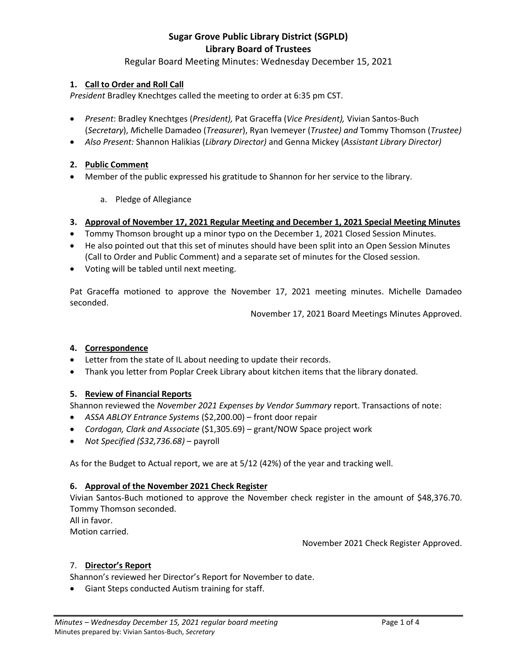# Regular Board Meeting Minutes: Wednesday December 15, 2021

# **1. Call to Order and Roll Call**

*President* Bradley Knechtges called the meeting to order at 6:35 pm CST.

- *Present*: Bradley Knechtges (*President),* Pat Graceffa (*Vice President),* Vivian Santos-Buch (*Secretary*), *M*ichelle Damadeo (*Treasurer*), Ryan Ivemeyer (*Trustee) and* Tommy Thomson (*Trustee)*
- *Also Present:* Shannon Halikias (*Library Director)* and Genna Mickey (*Assistant Library Director)*

# **2. Public Comment**

- Member of the public expressed his gratitude to Shannon for her service to the library.
	- a. Pledge of Allegiance

# **3. Approval of November 17, 2021 Regular Meeting and December 1, 2021 Special Meeting Minutes**

- Tommy Thomson brought up a minor typo on the December 1, 2021 Closed Session Minutes.
- He also pointed out that this set of minutes should have been split into an Open Session Minutes (Call to Order and Public Comment) and a separate set of minutes for the Closed session.
- Voting will be tabled until next meeting.

Pat Graceffa motioned to approve the November 17, 2021 meeting minutes. Michelle Damadeo seconded.

November 17, 2021 Board Meetings Minutes Approved.

### **4. Correspondence**

- Letter from the state of IL about needing to update their records.
- Thank you letter from Poplar Creek Library about kitchen items that the library donated.

### **5. Review of Financial Reports**

Shannon reviewed the *November 2021 Expenses by Vendor Summary* report. Transactions of note:

- *ASSA ABLOY Entrance Systems* (\$2,200.00) front door repair
- *Cordogan, Clark and Associate* (\$1,305.69) grant/NOW Space project work
- *Not Specified (\$32,736.68)*  payroll

As for the Budget to Actual report, we are at 5/12 (42%) of the year and tracking well.

### **6. Approval of the November 2021 Check Register**

Vivian Santos-Buch motioned to approve the November check register in the amount of \$48,376.70. Tommy Thomson seconded.

All in favor.

Motion carried.

November 2021 Check Register Approved.

### 7. **Director's Report**

Shannon's reviewed her Director's Report for November to date.

Giant Steps conducted Autism training for staff.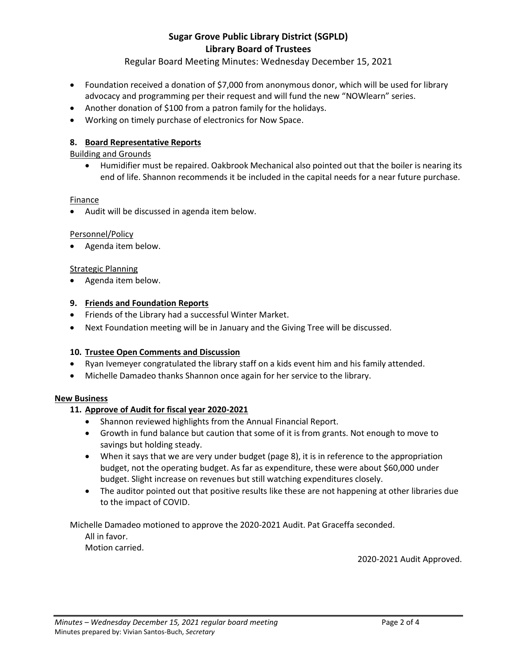# Regular Board Meeting Minutes: Wednesday December 15, 2021

- Foundation received a donation of \$7,000 from anonymous donor, which will be used for library advocacy and programming per their request and will fund the new "NOWlearn" series.
- Another donation of \$100 from a patron family for the holidays.
- Working on timely purchase of electronics for Now Space.

# **8. Board Representative Reports**

# Building and Grounds

 Humidifier must be repaired. Oakbrook Mechanical also pointed out that the boiler is nearing its end of life. Shannon recommends it be included in the capital needs for a near future purchase.

# Finance

Audit will be discussed in agenda item below.

# Personnel/Policy

• Agenda item below.

# Strategic Planning

• Agenda item below.

# **9. Friends and Foundation Reports**

- Friends of the Library had a successful Winter Market.
- Next Foundation meeting will be in January and the Giving Tree will be discussed.

# **10. Trustee Open Comments and Discussion**

- Ryan Ivemeyer congratulated the library staff on a kids event him and his family attended.
- Michelle Damadeo thanks Shannon once again for her service to the library.

# **New Business**

# **11. Approve of Audit for fiscal year 2020-2021**

- Shannon reviewed highlights from the Annual Financial Report.
- Growth in fund balance but caution that some of it is from grants. Not enough to move to savings but holding steady.
- When it says that we are very under budget (page 8), it is in reference to the appropriation budget, not the operating budget. As far as expenditure, these were about \$60,000 under budget. Slight increase on revenues but still watching expenditures closely.
- The auditor pointed out that positive results like these are not happening at other libraries due to the impact of COVID.

Michelle Damadeo motioned to approve the 2020-2021 Audit. Pat Graceffa seconded. All in favor.

Motion carried.

2020-2021 Audit Approved.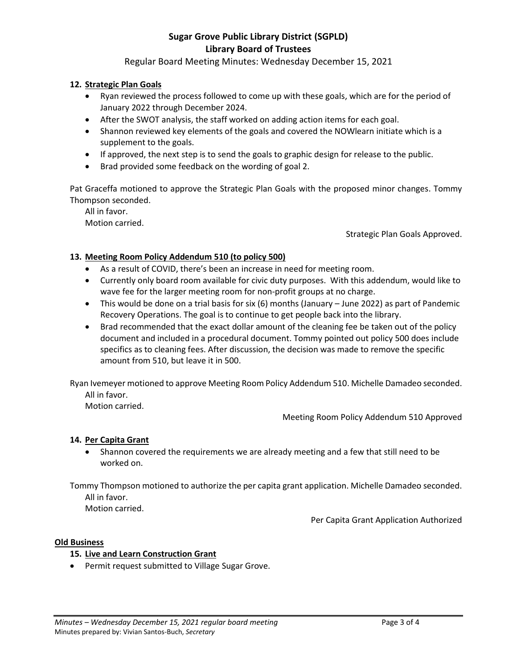Regular Board Meeting Minutes: Wednesday December 15, 2021

# **12. Strategic Plan Goals**

- Ryan reviewed the process followed to come up with these goals, which are for the period of January 2022 through December 2024.
- After the SWOT analysis, the staff worked on adding action items for each goal.
- Shannon reviewed key elements of the goals and covered the NOWlearn initiate which is a supplement to the goals.
- If approved, the next step is to send the goals to graphic design for release to the public.
- Brad provided some feedback on the wording of goal 2.

Pat Graceffa motioned to approve the Strategic Plan Goals with the proposed minor changes. Tommy Thompson seconded.

All in favor. Motion carried.

Strategic Plan Goals Approved.

# **13. Meeting Room Policy Addendum 510 (to policy 500)**

- As a result of COVID, there's been an increase in need for meeting room.
- Currently only board room available for civic duty purposes. With this addendum, would like to wave fee for the larger meeting room for non-profit groups at no charge.
- This would be done on a trial basis for six (6) months (January June 2022) as part of Pandemic Recovery Operations. The goal is to continue to get people back into the library.
- Brad recommended that the exact dollar amount of the cleaning fee be taken out of the policy document and included in a procedural document. Tommy pointed out policy 500 does include specifics as to cleaning fees. After discussion, the decision was made to remove the specific amount from 510, but leave it in 500.

Ryan Ivemeyer motioned to approve Meeting Room Policy Addendum 510. Michelle Damadeo seconded. All in favor.

Motion carried.

Meeting Room Policy Addendum 510 Approved

# **14. Per Capita Grant**

 Shannon covered the requirements we are already meeting and a few that still need to be worked on.

Tommy Thompson motioned to authorize the per capita grant application. Michelle Damadeo seconded. All in favor.

Motion carried.

Per Capita Grant Application Authorized

### **Old Business**

### **15. Live and Learn Construction Grant**

Permit request submitted to Village Sugar Grove.